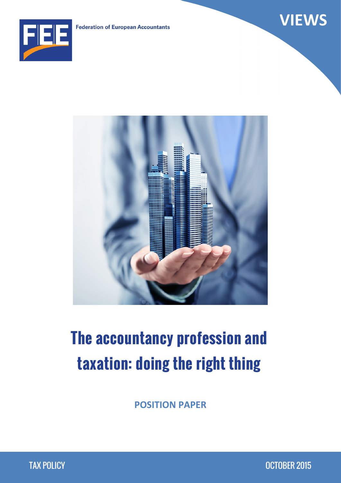



# **The accountancy profession and taxation: doing the right thing**

**POSITION PAPER**

**VIEWS**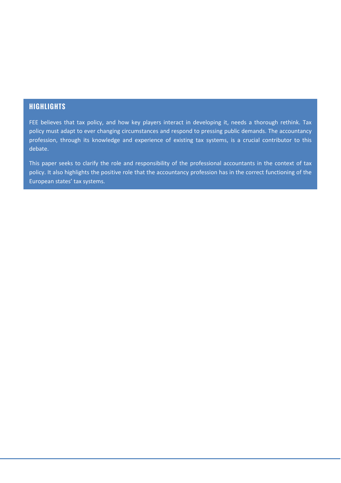#### **HIGHLIGHTS**

FEE believes that tax policy, and how key players interact in developing it, needs a thorough rethink. Tax policy must adapt to ever changing circumstances and respond to pressing public demands. The accountancy profession, through its knowledge and experience of existing tax systems, is a crucial contributor to this debate.

This paper seeks to clarify the role and responsibility of the professional accountants in the context of tax policy. It also highlights the positive role that the accountancy profession has in the correct functioning of the European states' tax systems.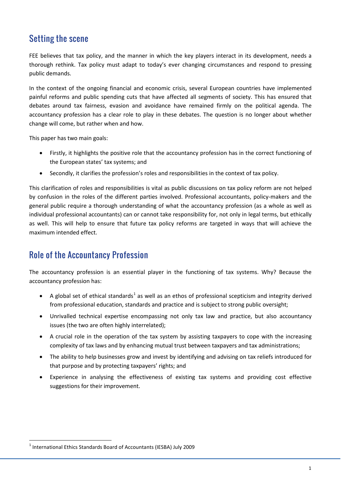## Setting the scene

FEE believes that tax policy, and the manner in which the key players interact in its development, needs a thorough rethink. Tax policy must adapt to today's ever changing circumstances and respond to pressing public demands.

In the context of the ongoing financial and economic crisis, several European countries have implemented painful reforms and public spending cuts that have affected all segments of society. This has ensured that debates around tax fairness, evasion and avoidance have remained firmly on the political agenda. The accountancy profession has a clear role to play in these debates. The question is no longer about whether change will come, but rather when and how.

This paper has two main goals:

- Firstly, it highlights the positive role that the accountancy profession has in the correct functioning of the European states' tax systems; and
- Secondly, it clarifies the profession's roles and responsibilities in the context of tax policy.

This clarification of roles and responsibilities is vital as public discussions on tax policy reform are not helped by confusion in the roles of the different parties involved. Professional accountants, policy-makers and the general public require a thorough understanding of what the accountancy profession (as a whole as well as individual professional accountants) can or cannot take responsibility for, not only in legal terms, but ethically as well. This will help to ensure that future tax policy reforms are targeted in ways that will achieve the maximum intended effect.

## Role of the Accountancy Profession

The accountancy profession is an essential player in the functioning of tax systems. Why? Because the accountancy profession has:

- A global set of ethical standards<sup>[1](#page-2-0)</sup> as well as an ethos of professional scepticism and integrity derived from professional education, standards and practice and is subject to strong public oversight;
- Unrivalled technical expertise encompassing not only tax law and practice, but also accountancy issues (the two are often highly interrelated);
- A crucial role in the operation of the tax system by assisting taxpayers to cope with the increasing complexity of tax laws and by enhancing mutual trust between taxpayers and tax administrations;
- The ability to help businesses grow and invest by identifying and advising on tax reliefs introduced for that purpose and by protecting taxpayers' rights; and
- Experience in analysing the effectiveness of existing tax systems and providing cost effective suggestions for their improvement.

<span id="page-2-0"></span><sup>&</sup>lt;sup>1</sup> International Ethics Standards Board of Accountants (IESBA) July 2009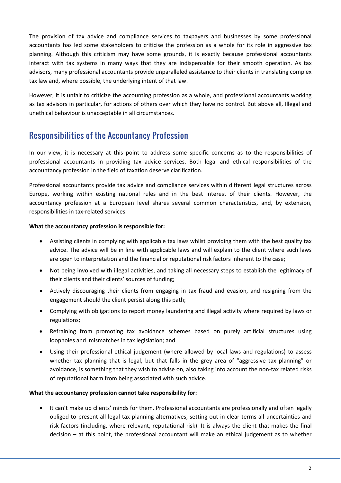The provision of tax advice and compliance services to taxpayers and businesses by some professional accountants has led some stakeholders to criticise the profession as a whole for its role in aggressive tax planning. Although this criticism may have some grounds, it is exactly because professional accountants interact with tax systems in many ways that they are indispensable for their smooth operation. As tax advisors, many professional accountants provide unparalleled assistance to their clients in translating complex tax law and, where possible, the underlying intent of that law.

However, it is unfair to criticize the accounting profession as a whole, and professional accountants working as tax advisors in particular, for actions of others over which they have no control. But above all, Illegal and unethical behaviour is unacceptable in all circumstances.

# Responsibilities of the Accountancy Profession

In our view, it is necessary at this point to address some specific concerns as to the responsibilities of professional accountants in providing tax advice services. Both legal and ethical responsibilities of the accountancy profession in the field of taxation deserve clarification.

Professional accountants provide tax advice and compliance services within different legal structures across Europe, working within existing national rules and in the best interest of their clients. However, the accountancy profession at a European level shares several common characteristics, and, by extension, responsibilities in tax-related services.

#### **What the accountancy profession is responsible for:**

- Assisting clients in complying with applicable tax laws whilst providing them with the best quality tax advice. The advice will be in line with applicable laws and will explain to the client where such laws are open to interpretation and the financial or reputational risk factors inherent to the case;
- Not being involved with illegal activities, and taking all necessary steps to establish the legitimacy of their clients and their clients' sources of funding;
- Actively discouraging their clients from engaging in tax fraud and evasion, and resigning from the engagement should the client persist along this path;
- Complying with obligations to report money laundering and illegal activity where required by laws or regulations;
- Refraining from promoting tax avoidance schemes based on purely artificial structures using loopholes and mismatches in tax legislation; and
- Using their professional ethical judgement (where allowed by local laws and regulations) to assess whether tax planning that is legal, but that falls in the grey area of "aggressive tax planning" or avoidance, is something that they wish to advise on, also taking into account the non-tax related risks of reputational harm from being associated with such advice.

#### **What the accountancy profession cannot take responsibility for:**

• It can't make up clients' minds for them. Professional accountants are professionally and often legally obliged to present all legal tax planning alternatives, setting out in clear terms all uncertainties and risk factors (including, where relevant, reputational risk). It is always the client that makes the final decision – at this point, the professional accountant will make an ethical judgement as to whether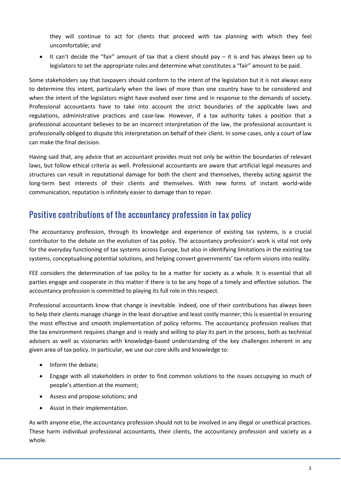they will continue to act for clients that proceed with tax planning with which they feel uncomfortable; and

• It can't decide the "fair" amount of tax that a client should pay – it is and has always been up to legislators to set the appropriate rules and determine what constitutes a "fair" amount to be paid.

Some stakeholders say that taxpayers should conform to the intent of the legislation but it is not always easy to determine this intent, particularly when the laws of more than one country have to be considered and when the intent of the legislators might have evolved over time and in response to the demands of society. Professional accountants have to take into account the strict boundaries of the applicable laws and regulations, administrative practices and case-law. However, if a tax authority takes a position that a professional accountant believes to be an incorrect interpretation of the law, the professional accountant is professionally obliged to dispute this interpretation on behalf of their client. In some cases, only a court of law can make the final decision.

Having said that, any advice that an accountant provides must not only be within the boundaries of relevant laws, but follow ethical criteria as well. Professional accountants are aware that artificial legal measures and structures can result in reputational damage for both the client and themselves, thereby acting against the long-term best interests of their clients and themselves. With new forms of instant world-wide communication, reputation is infinitely easier to damage than to repair.

## Positive contributions of the accountancy profession in tax policy

The accountancy profession, through its knowledge and experience of existing tax systems, is a crucial contributor to the debate on the evolution of tax policy. The accountancy profession's work is vital not only for the everyday functioning of tax systems across Europe, but also in identifying limitations in the existing tax systems, conceptualising potential solutions, and helping convert governments' tax reform visions into reality.

FEE considers the determination of tax policy to be a matter for society as a whole. It is essential that all parties engage and cooperate in this matter if there is to be any hope of a timely and effective solution. The accountancy profession is committed to playing its full role in this respect.

Professional accountants know that change is inevitable. Indeed, one of their contributions has always been to help their clients manage change in the least disruptive and least costly manner; this is essential in ensuring the most effective and smooth implementation of policy reforms. The accountancy profession realises that the tax environment requires change and is ready and willing to play its part in the process, both as technical advisers as well as visionaries with knowledge-based understanding of the key challenges inherent in any given area of tax policy. In particular, we use our core skills and knowledge to:

- Inform the debate;
- Engage with all stakeholders in order to find common solutions to the issues occupying so much of people's attention at the moment;
- Assess and propose solutions; and
- Assist in their implementation.

As with anyone else, the accountancy profession should not to be involved in any illegal or unethical practices. These harm individual professional accountants, their clients, the accountancy profession and society as a whole.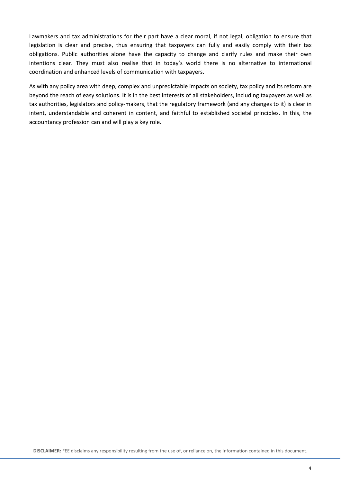Lawmakers and tax administrations for their part have a clear moral, if not legal, obligation to ensure that legislation is clear and precise, thus ensuring that taxpayers can fully and easily comply with their tax obligations. Public authorities alone have the capacity to change and clarify rules and make their own intentions clear. They must also realise that in today's world there is no alternative to international coordination and enhanced levels of communication with taxpayers.

As with any policy area with deep, complex and unpredictable impacts on society, tax policy and its reform are beyond the reach of easy solutions. It is in the best interests of all stakeholders, including taxpayers as well as tax authorities, legislators and policy-makers, that the regulatory framework (and any changes to it) is clear in intent, understandable and coherent in content, and faithful to established societal principles. In this, the accountancy profession can and will play a key role.

**DISCLAIMER:** FEE disclaims any responsibility resulting from the use of, or reliance on, the information contained in this document.